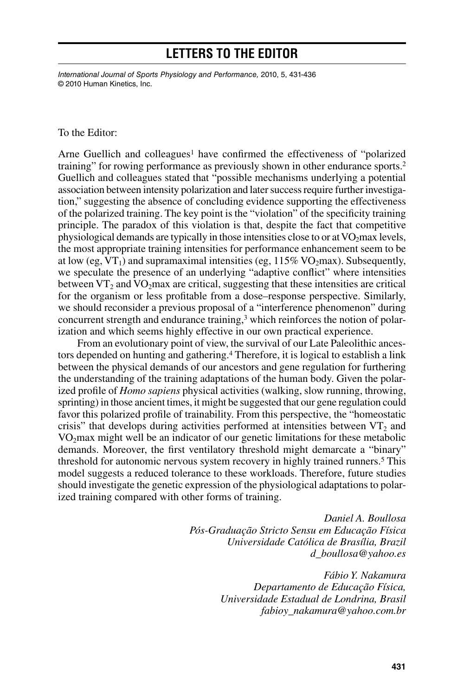## **Letters to the Editor**

*International Journal of Sports Physiology and Performance,* 2010, 5, 431-436 © 2010 Human Kinetics, Inc.

#### To the Editor:

Arne Guellich and colleagues<sup>1</sup> have confirmed the effectiveness of "polarized training" for rowing performance as previously shown in other endurance sports.2 Guellich and colleagues stated that "possible mechanisms underlying a potential association between intensity polarization and later success require further investigation," suggesting the absence of concluding evidence supporting the effectiveness of the polarized training. The key point is the "violation" of the specificity training principle. The paradox of this violation is that, despite the fact that competitive physiological demands are typically in those intensities close to or at  $VO<sub>2</sub>$  max levels, the most appropriate training intensities for performance enhancement seem to be at low (eg,  $VT_1$ ) and supramaximal intensities (eg,  $115\%$  VO<sub>2</sub>max). Subsequently, we speculate the presence of an underlying "adaptive conflict" where intensities between  $VT_2$  and  $VO_2$ max are critical, suggesting that these intensities are critical for the organism or less profitable from a dose–response perspective. Similarly, we should reconsider a previous proposal of a "interference phenomenon" during concurrent strength and endurance training,<sup>3</sup> which reinforces the notion of polarization and which seems highly effective in our own practical experience.

From an evolutionary point of view, the survival of our Late Paleolithic ancestors depended on hunting and gathering.4 Therefore, it is logical to establish a link between the physical demands of our ancestors and gene regulation for furthering the understanding of the training adaptations of the human body. Given the polarized profile of *Homo sapiens* physical activities (walking, slow running, throwing, sprinting) in those ancient times, it might be suggested that our gene regulation could favor this polarized profile of trainability. From this perspective, the "homeostatic crisis" that develops during activities performed at intensities between  $VT_2$  and  $VO<sub>2</sub>max$  might well be an indicator of our genetic limitations for these metabolic demands. Moreover, the first ventilatory threshold might demarcate a "binary" threshold for autonomic nervous system recovery in highly trained runners.<sup>5</sup> This model suggests a reduced tolerance to these workloads. Therefore, future studies should investigate the genetic expression of the physiological adaptations to polarized training compared with other forms of training.

> *Daniel A. Boullosa Pós-Graduação Stricto Sensu em Educação Física Universidade Católica de Brasília, Brazil d\_boullosa@yahoo.es*

> > *Fábio Y. Nakamura Departamento de Educação Física, Universidade Estadual de Londrina, Brasil fabioy\_nakamura@yahoo.com.br*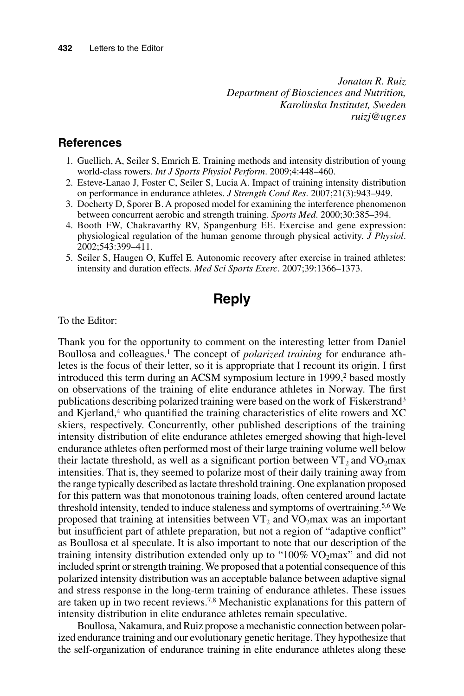*Jonatan R. Ruiz Department of Biosciences and Nutrition, Karolinska Institutet, Sweden ruizj@ugr.es*

#### **References**

- 1. Guellich, A, Seiler S, Emrich E. Training methods and intensity distribution of young world-class rowers. *Int J Sports Physiol Perform*. 2009;4:448–460.
- 2. Esteve-Lanao J, Foster C, Seiler S, Lucia A. Impact of training intensity distribution on performance in endurance athletes. *J Strength Cond Res*. 2007;21(3):943–949.
- 3. Docherty D, Sporer B. A proposed model for examining the interference phenomenon between concurrent aerobic and strength training. *Sports Med*. 2000;30:385–394.
- 4. Booth FW, Chakravarthy RV, Spangenburg EE. Exercise and gene expression: physiological regulation of the human genome through physical activity. *J Physiol*. 2002;543:399–411.
- 5. Seiler S, Haugen O, Kuffel E. Autonomic recovery after exercise in trained athletes: intensity and duration effects. *Med Sci Sports Exerc*. 2007;39:1366–1373.

## **Reply**

To the Editor:

Thank you for the opportunity to comment on the interesting letter from Daniel Boullosa and colleagues.1 The concept of *polarized training* for endurance athletes is the focus of their letter, so it is appropriate that I recount its origin. I first introduced this term during an ACSM symposium lecture in 1999,<sup>2</sup> based mostly on observations of the training of elite endurance athletes in Norway. The first publications describing polarized training were based on the work of Fiskerstrand3 and Kjerland,<sup>4</sup> who quantified the training characteristics of elite rowers and XC skiers, respectively. Concurrently, other published descriptions of the training intensity distribution of elite endurance athletes emerged showing that high-level endurance athletes often performed most of their large training volume well below their lactate threshold, as well as a significant portion between  $VT_2$  and  $VO_2$ max intensities. That is, they seemed to polarize most of their daily training away from the range typically described as lactate threshold training. One explanation proposed for this pattern was that monotonous training loads, often centered around lactate threshold intensity, tended to induce staleness and symptoms of overtraining.5,6 We proposed that training at intensities between  $VT_2$  and  $VO_2$ max was an important but insufficient part of athlete preparation, but not a region of "adaptive conflict" as Boullosa et al speculate. It is also important to note that our description of the training intensity distribution extended only up to " $100\%$  VO<sub>2</sub>max" and did not included sprint or strength training. We proposed that a potential consequence of this polarized intensity distribution was an acceptable balance between adaptive signal and stress response in the long-term training of endurance athletes. These issues are taken up in two recent reviews.7,8 Mechanistic explanations for this pattern of intensity distribution in elite endurance athletes remain speculative.

Boullosa, Nakamura, and Ruiz propose a mechanistic connection between polarized endurance training and our evolutionary genetic heritage. They hypothesize that the self-organization of endurance training in elite endurance athletes along these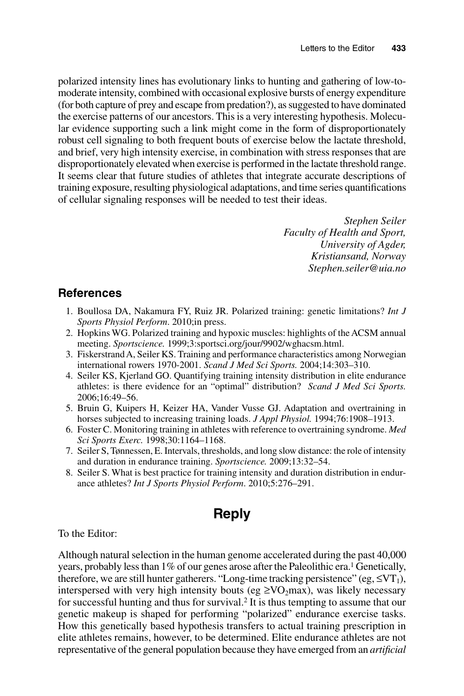polarized intensity lines has evolutionary links to hunting and gathering of low-tomoderate intensity, combined with occasional explosive bursts of energy expenditure (for both capture of prey and escape from predation?), as suggested to have dominated the exercise patterns of our ancestors. This is a very interesting hypothesis. Molecular evidence supporting such a link might come in the form of disproportionately robust cell signaling to both frequent bouts of exercise below the lactate threshold, and brief, very high intensity exercise, in combination with stress responses that are disproportionately elevated when exercise is performed in the lactate threshold range. It seems clear that future studies of athletes that integrate accurate descriptions of training exposure, resulting physiological adaptations, and time series quantifications of cellular signaling responses will be needed to test their ideas.

> *Stephen Seiler Faculty of Health and Sport, University of Agder, Kristiansand, Norway Stephen.seiler@uia.no*

### **References**

- 1. Boullosa DA, Nakamura FY, Ruiz JR. Polarized training: genetic limitations? *Int J Sports Physiol Perform*. 2010;in press.
- 2. Hopkins WG. Polarized training and hypoxic muscles: highlights of the ACSM annual meeting. *Sportscience.* 1999;3:sportsci.org/jour/9902/wghacsm.html.
- 3. Fiskerstrand A, Seiler KS. Training and performance characteristics among Norwegian international rowers 1970-2001. *Scand J Med Sci Sports.* 2004;14:303–310.
- 4. Seiler KS, Kjerland GO. Quantifying training intensity distribution in elite endurance athletes: is there evidence for an "optimal" distribution? *Scand J Med Sci Sports.* 2006;16:49–56.
- 5. Bruin G, Kuipers H, Keizer HA, Vander Vusse GJ. Adaptation and overtraining in horses subjected to increasing training loads. *J Appl Physiol.* 1994;76:1908–1913.
- 6. Foster C. Monitoring training in athletes with reference to overtraining syndrome. *Med Sci Sports Exerc.* 1998;30:1164–1168.
- 7. Seiler S, Tønnessen, E. Intervals, thresholds, and long slow distance: the role of intensity and duration in endurance training. *Sportscience.* 2009;13:32–54.
- 8. Seiler S. What is best practice for training intensity and duration distribution in endurance athletes? *Int J Sports Physiol Perform*. 2010;5:276–291.

# **Reply**

To the Editor:

Although natural selection in the human genome accelerated during the past 40,000 years, probably less than  $1\%$  of our genes arose after the Paleolithic era.<sup>1</sup> Genetically, therefore, we are still hunter gatherers. "Long-time tracking persistence" (eg,  $\leq VT_1$ ), interspersed with very high intensity bouts (eg  $\geq$ VO<sub>2</sub>max), was likely necessary for successful hunting and thus for survival.2 It is thus tempting to assume that our genetic makeup is shaped for performing "polarized" endurance exercise tasks. How this genetically based hypothesis transfers to actual training prescription in elite athletes remains, however, to be determined. Elite endurance athletes are not representative of the general population because they have emerged from an *artificial*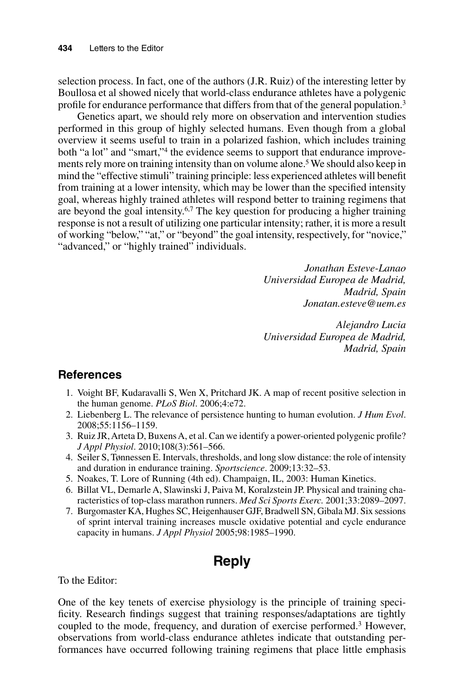selection process. In fact, one of the authors (J.R. Ruiz) of the interesting letter by Boullosa et al showed nicely that world-class endurance athletes have a polygenic profile for endurance performance that differs from that of the general population.<sup>3</sup>

Genetics apart, we should rely more on observation and intervention studies performed in this group of highly selected humans. Even though from a global overview it seems useful to train in a polarized fashion, which includes training both "a lot" and "smart,"<sup>4</sup> the evidence seems to support that endurance improvements rely more on training intensity than on volume alone.<sup>5</sup> We should also keep in mind the "effective stimuli" training principle: less experienced athletes will benefit from training at a lower intensity, which may be lower than the specified intensity goal, whereas highly trained athletes will respond better to training regimens that are beyond the goal intensity.<sup>6,7</sup> The key question for producing a higher training response is not a result of utilizing one particular intensity; rather, it is more a result of working "below," "at," or "beyond" the goal intensity, respectively, for "novice," "advanced," or "highly trained" individuals.

> *Jonathan Esteve-Lanao Universidad Europea de Madrid, Madrid, Spain Jonatan.esteve@uem.es*

> *Alejandro Lucia Universidad Europea de Madrid, Madrid, Spain*

### **References**

- 1. Voight BF, Kudaravalli S, Wen X, Pritchard JK. A map of recent positive selection in the human genome. *PLoS Biol*. 2006;4:e72.
- 2. Liebenberg L. The relevance of persistence hunting to human evolution. *J Hum Evol*. 2008;55:1156–1159.
- 3. Ruiz JR, Arteta D, Buxens A, et al. Can we identify a power-oriented polygenic profile? *J Appl Physiol*. 2010;108(3):561–566.
- 4. Seiler S, Tønnessen E. Intervals, thresholds, and long slow distance: the role of intensity and duration in endurance training. *Sportscience*. 2009;13:32–53.
- 5. Noakes, T. Lore of Running (4th ed). Champaign, IL, 2003: Human Kinetics.
- 6. Billat VL, Demarle A, Slawinski J, Paiva M, Koralzstein JP. Physical and training characteristics of top-class marathon runners. *Med Sci Sports Exerc.* 2001;33:2089–2097.
- 7. Burgomaster KA, Hughes SC, Heigenhauser GJF, Bradwell SN, Gibala MJ. Six sessions of sprint interval training increases muscle oxidative potential and cycle endurance capacity in humans. *J Appl Physiol* 2005;98:1985–1990.

## **Reply**

To the Editor:

One of the key tenets of exercise physiology is the principle of training specificity. Research findings suggest that training responses/adaptations are tightly coupled to the mode, frequency, and duration of exercise performed.3 However, observations from world-class endurance athletes indicate that outstanding performances have occurred following training regimens that place little emphasis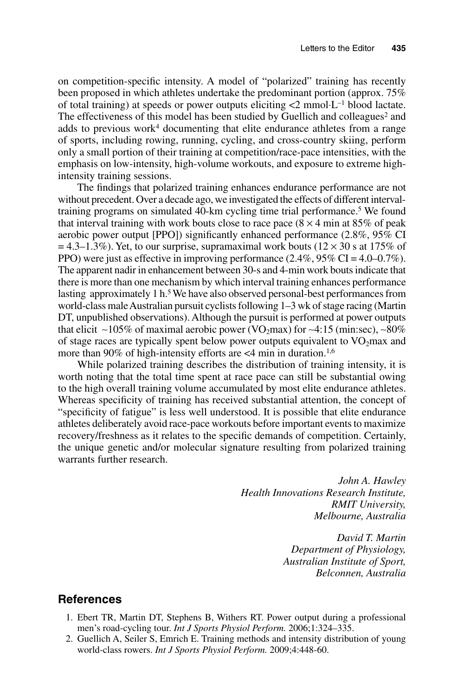on competition-specific intensity. A model of "polarized" training has recently been proposed in which athletes undertake the predominant portion (approx. 75% of total training) at speeds or power outputs eliciting <2 mmol⋅L–1 blood lactate. The effectiveness of this model has been studied by Guellich and colleagues<sup>2</sup> and adds to previous work<sup>4</sup> documenting that elite endurance athletes from a range of sports, including rowing, running, cycling, and cross-country skiing, perform only a small portion of their training at competition/race-pace intensities, with the emphasis on low-intensity, high-volume workouts, and exposure to extreme highintensity training sessions.

The findings that polarized training enhances endurance performance are not without precedent. Over a decade ago, we investigated the effects of different intervaltraining programs on simulated 40-km cycling time trial performance.<sup>5</sup> We found that interval training with work bouts close to race pace  $(8 \times 4 \text{ min at } 85\% \text{ of peak})$ aerobic power output [PPO]) significantly enhanced performance (2.8%, 95% CI  $= 4.3-1.3\%$ ). Yet, to our surprise, supramaximal work bouts ( $12 \times 30$  s at 175% of PPO) were just as effective in improving performance  $(2.4\%, 95\% \text{ CI} = 4.0\text{--}0.7\%).$ The apparent nadir in enhancement between 30-s and 4-min work bouts indicate that there is more than one mechanism by which interval training enhances performance lasting approximately 1 h.<sup>5</sup> We have also observed personal-best performances from world-class male Australian pursuit cyclists following 1–3 wk of stage racing (Martin DT, unpublished observations). Although the pursuit is performed at power outputs that elicit ∼105% of maximal aerobic power (VO<sub>2</sub>max) for ~4:15 (min:sec), ~80% of stage races are typically spent below power outputs equivalent to  $VO<sub>2</sub>$  max and more than 90% of high-intensity efforts are  $\lt$ 4 min in duration.<sup>1,6</sup>

While polarized training describes the distribution of training intensity, it is worth noting that the total time spent at race pace can still be substantial owing to the high overall training volume accumulated by most elite endurance athletes. Whereas specificity of training has received substantial attention, the concept of "specificity of fatigue" is less well understood. It is possible that elite endurance athletes deliberately avoid race-pace workouts before important events to maximize recovery/freshness as it relates to the specific demands of competition. Certainly, the unique genetic and/or molecular signature resulting from polarized training warrants further research.

> *John A. Hawley Health Innovations Research Institute, RMIT University, Melbourne, Australia*

> > *David T. Martin Department of Physiology, Australian Institute of Sport, Belconnen, Australia*

#### **References**

- 1. Ebert TR, Martin DT, Stephens B, Withers RT. Power output during a professional men's road-cycling tour. *Int J Sports Physiol Perform.* 2006;1:324–335.
- 2. Guellich A, Seiler S, Emrich E. Training methods and intensity distribution of young world-class rowers. *Int J Sports Physiol Perform.* 2009;4:448-60.